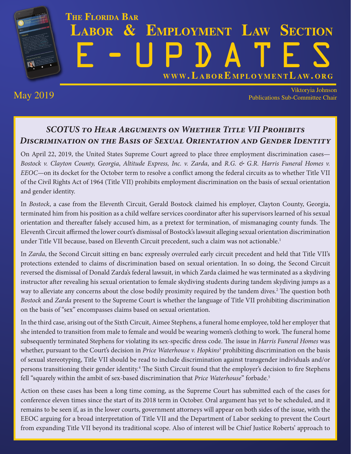## <span id="page-0-0"></span>**THE FLORIDA BAR LABOR & EMPLOYMENT LAW SECTION** E-U[PDATES](http://www.laboremploymentlaw.org/) **WWW. L ABOR E MPLOYMENTL AW. ORG**

May 2019 Viktoryia Johnson Publications Sub-Committee Chair

### *SCOTUS to Hear Arguments on Whether Title VII Prohibits Discrimination on the Basis of Sexual Orientation and Gender Identity*

On April 22, 2019, the United States Supreme Court agreed to place three employment discrimination cases— *Bostock v. Clayton County, Georgia*, *Altitude Express, Inc. v. Zarda*, and *R.G. & G.R. Harris Funeral Homes v. EEOC—*on its docket for the October term to resolve a conflict among the federal circuits as to whether Title VII of the Civil Rights Act of 1964 (Title VII) prohibits employment discrimination on the basis of sexual orientation and gender identity.

In *Bostock*, a case from the Eleventh Circuit, Gerald Bostock claimed his employer, Clayton County, Georgia, terminated him from his position as a child welfare services coordinator after his supervisors learned of his sexual orientation and thereafter falsely accused him, as a pretext for termination, of mismanaging county funds. The Eleventh Circuit affirmed the lower court's dismissal of Bostock's lawsuit alleging sexual orientation discrimination under Title VII because, based on Eleventh Circuit precedent, such a claim was not actionable.<sup>1</sup>

In *Zarda*, the Second Circuit sitting en banc expressly overruled early circuit precedent and held that Title VII's protections extended to claims of discrimination based on sexual orientation. In so doing, the Second Circuit reversed the dismissal of Donald Zarda's federal lawsuit, in which Zarda claimed he was terminated as a skydiving instructor after revealing his sexual orientation to female skydiving students during tandem skydiving jumps as a way to alleviate any concerns about the close bodily proximity required by the tandem dives[.2](#page-1-0) The question both *Bostock* and *Zarda* present to the Supreme Court is whether the language of Title VII prohibiting discrimination on the basis of "sex" encompasses claims based on sexual orientation.

In the third case, arising out of the Sixth Circuit, Aimee Stephens, a funeral home employee, told her employer that she intended to transition from male to female and would be wearing women's clothing to work. The funeral home subsequently terminated Stephens for violating its sex-specific dress code. The issue in *Harris Funeral Homes* was whether, pursuant to the Court's decision in *Price Waterhouse v. Hopkins*[3](#page-1-0) prohibiting discrimination on the basis of sexual stereotyping, Title VII should be read to include discrimination against transgender individuals and/or persons transitioning their gender identity.[4](#page-1-0) The Sixth Circuit found that the employer's decision to fire Stephens fell "squarely within the ambit of sex-based discrimination that *Price Waterhouse*" forbade[.5](#page-1-0)

Action on these cases has been a long time coming, as the Supreme Court has submitted each of the cases for conference eleven times since the start of its 2018 term in October. Oral argument has yet to be scheduled, and it remains to be seen if, as in the lower courts, government attorneys will appear on both sides of the issue, with the EEOC arguing for a broad interpretation of Title VII and the Department of Labor seeking to prevent the Court from expanding Title VII beyond its traditional scope. Also of interest will be Chief Justice Roberts' approach to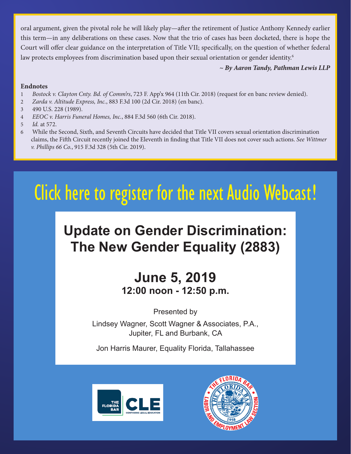<span id="page-1-0"></span>oral argument, given the pivotal role he will likely play—after the retirement of Justice Anthony Kennedy earlier this term—in any deliberations on these cases. Now that the trio of cases has been docketed, there is hope the Court will offer clear guidance on the interpretation of Title VII; specifically, on the question of whether federal law protects employees from discrimination based upon their sexual orientation or gender identity.<sup>6</sup>

#### *~ By Aaron Tandy, Pathman Lewis LLP*

#### **Endnotes**

- [1](#page-0-0) *Bostock v. Clayton Cnty. Bd. of Comm'rs*, 723 F. App'x 964 (11th Cir. 2018) (request for en banc review denied).
- [2](#page-0-0) *Zarda v. Altitude Express, Inc.*, 883 F.3d 100 (2d Cir. 2018) (en banc).
- [3](#page-0-0) 490 U.S. 228 (1989).
- [4](#page-0-0) *EEOC v. Harris Funeral Homes, Inc.*, 884 F.3d 560 (6th Cir. 2018).
- [5](#page-0-0) *Id.* at 572.
- 6 While the Second, Sixth, and Seventh Circuits have decided that Title VII covers sexual orientation discrimination claims, the Fifth Circuit recently joined the Eleventh in finding that Title VII does not cover such actions. *See Wittmer v. Phillips 66 Co.*, 915 F.3d 328 (5th Cir. 2019).

# [Click here to register for the](https://tfb.inreachce.com/Details/Information/54b75e1f-de69-4e14-a525-a42bc145e153) next Audio Webcast !

## **Update on Gender Discrimination: The New Gender Equality (2883)**

### **June 5, 2019 12:00 noon - 12:50 p.m.**

Presented by

Lindsey Wagner, Scott Wagner & Associates, P.A., Jupiter, FL and Burbank, CA

Jon Harris Maurer, Equality Florida, Tallahassee